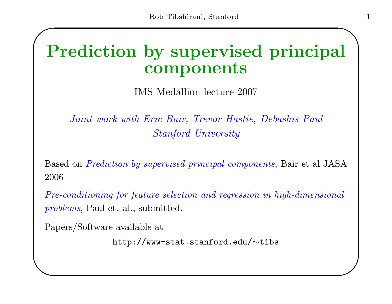# ✬ ✩ Prediction by supervised principal components

IMS Medallion lecture 2007

Joint work with Eric Bair, Trevor Hastie, Debashis Paul Stanford University

Based on Prediction by supervised principal components, Bair et al JASA 2006

Pre-conditioning for feature selection and regression in high-dimensional problems, Paul et. al., submitted.

Papers/Software available at

 $\setminus$ 

http://www-stat.stanford.edu/∼tibs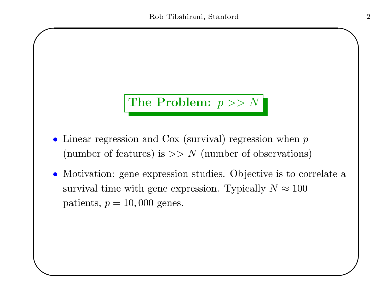$\setminus$ 



- Linear regression and  $\text{Cox}$  (survival) regression when  $p$ (number of features) is  $\gg N$  (number of observations)
- Motivation: gene expression studies. Objective is to correlate <sup>a</sup> survival time with gene expression. Typically  $N \approx 100$ patients,  $p = 10,000$  genes.

 $\bigwedge$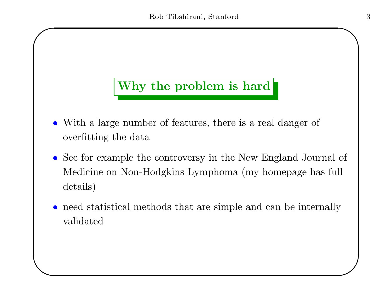$\setminus$ 

### Why the problem is hard

- With <sup>a</sup> large number of features, there is <sup>a</sup> real danger of overfitting the data
- See for example the controversy in the New England Journal of Medicine on Non-Hodgkins Lymphoma (my homepage has full details)
- need statistical methods that are simple and can be internally validated

 $\bigwedge$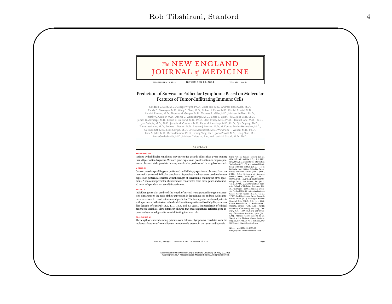#### The  $NEW$   $ENGLAND$ JOURNAL of MEDICINE

established in 1812 NOVEMBER 18, 2004 vol. 351 No. 21

#### Prediction of Survival in Follicular Lymphoma Based on Molecular Features of Tumor-Infiltrating Immune Cells

Sandeep S. Dave, M.D., George Wright, Ph.D., Bruce Tan, M.D., Andreas Rosenwald, M.D., Randy D. Gascoyne, M.D., Wing C. Chan, M.D., Richard I. Fisher, M.D., Rita M. Braziel, M.D., Lisa M. Rimsza, M.D., Thomas M. Grogan, M.D., Thomas P. Miller, M.D., Michael LeBlanc, Ph.D., Timothy C. Greiner, M.D., Dennis D. Weisenburger, M.D., James C. Lynch, Ph.D., Julie Vose, M.D., James O. Armitage, M.D., Erlend B. Smeland, M.D., Ph.D., Stein Kvaloy, M.D., Ph.D., Harald Holte, M.D., Ph.D., Jan Delabie, M.D., Ph.D., Joseph M. Connors, M.D., Peter M. Lansdorp, M.D., Ph.D., Qin Ouyang, Ph.D., T. Andrew Lister, M.D., Andrew J. Davies, M.D., Andrew J. Norton, M.D., H. Konrad Muller-Hermelink, M.D., German Ott, M.D., Elias Campo, M.D., Emilio Montserrat, M.D., Wyndham H. Wilson, M.D., Ph.D., Elaine S. Jaffe, M.D., Richard Simon, Ph.D., Liming Yang, Ph.D., John Powell, M.S., Hong Zhao, M.S., Neta Goldschmidt, M.D., Michael Chiorazzi, B.A., and Louis M. Staudt, M.D., Ph.D.

#### **ABSTRACT**

#### **BACKGROUND**

Patients with follicular lymphoma may survive for periods of less than 1 year to more From National Cancer Institute (S.S.D., than 20 years after diagnosis. We used gene-expression profiles of tumor-biopsy spec- G.W., B.T., A.R., WH.W., E.S.J., R.S., H.Z., imens obtained at diagnosis to develop a molecular predictor of the length of survival.

#### **METHODS**

 $\bigg($ 

 $\setminus$ 

Gene-expression profiling was performed on 191 biopsy specimens obtained from pa- Center, Vancouver, Canada (R.D.G., J.M.C., tients with untreated follicular lymphoma. Supervised methods were used to discover<br>expression patterns associated with the length of survival in a training set of 95 speci-<br>mens. A molecular predictor of survival was cons ed in an independent test set of 96 specimens.

#### **RESULTS**

Individual genes that predicted the length of survival were grouped into gene-expres- $\frac{\sin x}{\cos x}$  Portland (R.M.B.); University of Arizona man adult genee that predicted the rength of burning meta grouped mits gene express Cancer Center, Tucson (L.M.R., T.M.G., T.M.G., T.M.G., T.M.G., tures were used to construct a survival predictor. The two signatures allowed patients Center, Seattle (M.L.); Norwegian Radium<br>with anceimans in the test set to be divided into four quertiles with widely disporate me Hosp wan specimens in the test sect of de anneed milo four quanties with wheley disparate inc<br>dian lengths of survival (13.6, 11.1, 10.8, and 3.9 years), independently of clinical Hospital, London (T.A.L., A.J.D., A.J.N.); prognostic variables. Flow cytometry showed that these signatures reflected gene ex- University of Würzburg, Gerwith specimens in the test set to be divided into four quartiles with widely disparate mepression by nonmalignant tumor-infiltrating immune cells.

#### **CONCLUSIONS**

Staudt at the National Cancer Institute,<br>The length of survival among patients with follicular lymphoma correlates with the Bldg. 10, Rm. 4N114, NIH, Bethesda, MD molecular features of nonmalignant immune cells present in the tumor at diagnosis.

many (A.R., H.K.M.-H., G.O.); and University of Barcelona, Barcelona, Spain (E.C., E.M.). Address reprint requests to Dr. 208 92, or at lstaudt@ mail.nih.gov.

<sup>N</sup> Engl J Med 2004;351:2159-69. Copyright  $@$  2004 Massachusetts Medical Society.

<sup>n</sup> <sup>e</sup> <sup>n</sup> <sup>g</sup> <sup>l</sup> j <sup>m</sup> <sup>e</sup> <sup>d</sup> 3 5 <sup>1</sup> ;2 <sup>1</sup> <sup>w</sup> <sup>w</sup> <sup>w</sup> .n <sup>e</sup> jm .o <sup>r</sup> <sup>g</sup> <sup>n</sup> <sup>o</sup> <sup>v</sup> <sup>e</sup> <sup>m</sup> <sup>b</sup> <sup>e</sup> <sup>r</sup> <sup>1</sup> 8 , <sup>2</sup> <sup>0</sup> <sup>0</sup> 4 2159

Copyright © 2004 Massachusetts Medical Society. All rights reserved. Downloaded from www.nejm.org at Stanford University on May 10, 2005 .

N.G., M.C., L.M.S.); Center for Information Technology (L.Y ., J.P.); and National Heart, Lung, and Blood Institute (S.S.D.) — all in Bethesda, Md.; British Columbia Cancer P.M.L., Q.O.); University of Nebraska Medical Center, Omaha (W.C.C., T.C.G., D.D.W., J.C.L., J.V ., J.O.A.); Southwest On-cology Group, San Antonio, Tex . (R.I.F., T.M.G., T.P.M., M.L.); University of Roch-ester School of Medicine, Rochester, N.Y . (R.I.F.); Oregon Health and Science Univer $\bigwedge$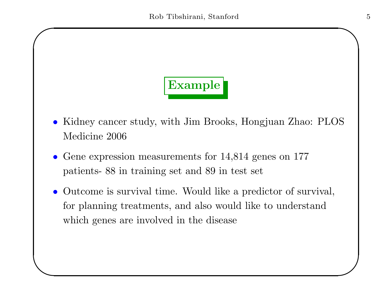$\setminus$ 

# Example

- Kidney cancer study, with Jim Brooks, Hongjuan Zhao: PLOS Medicine 2006
- Gene expression measurements for 14,814 genes on 177 patients- 88 in training set and 89 in test set
- Outcome is survival time. Would like <sup>a</sup> predictor of survival, for <sup>p</sup>lanning treatments, and also would like to understand which genes are involved in the disease

 $\bigwedge$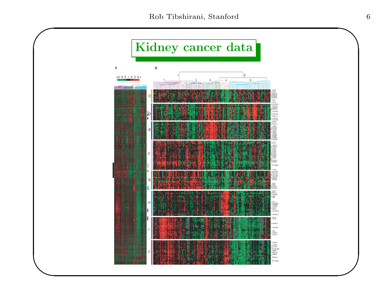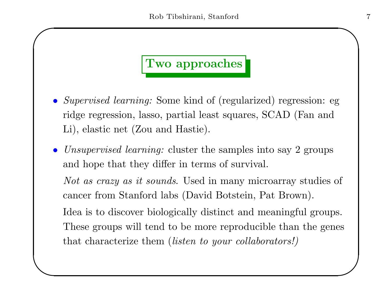$\setminus$ 

#### Two approaches

- Supervised learning: Some kind of (regularized) regression: eg ridge regression, lasso, partial least squares, SCAD (Fan and Li), elastic net (Zou and Hastie).
- Unsupervised learning: cluster the samples into say 2 groups and hope that they differ in terms of survival.

Not as crazy as it sounds. Used in many microarray studies of cancer from Stanford labs (David Botstein, Pat Brown).

Idea is to discover biologically distinct and meaningful groups. These groups will tend to be more reproducible than the genes that characterize them (listen to your collaborators!)

 $\bigwedge$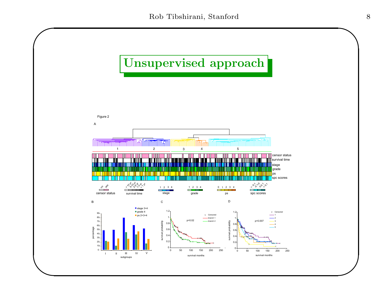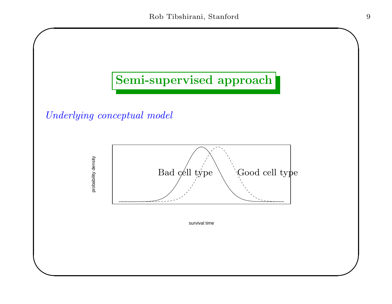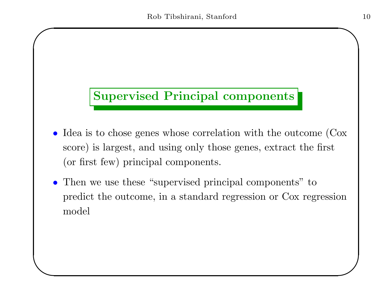$\setminus$ 

## Supervised Principal components

- Idea is to chose genes whose correlation with the outcome (Cox score) is largest, and using only those genes, extract the first (or first few) principal components.
- Then we use these "supervised principal components" to predict the outcome, in <sup>a</sup> standard regression or Cox regression model

 $\bigwedge$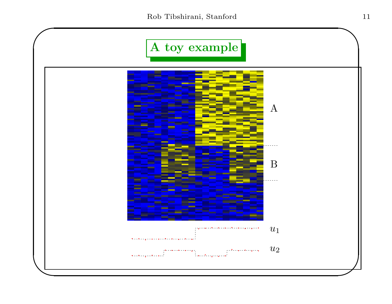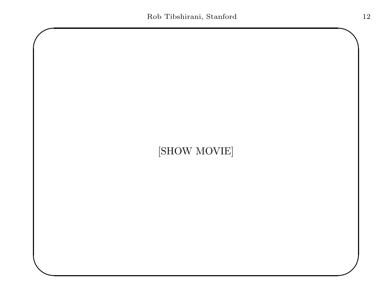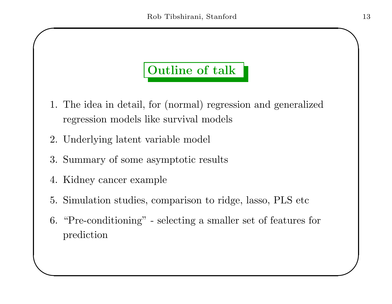# Outline of talk

- 1. The idea in detail, for (normal) regression and generalized regression models like survival models
- 2. Underlying latent variable model
- 3. Summary of some asymptotic results
- 4. Kidney cancer example

 $\bigg($ 

 $\setminus$ 

- 5. Simulation studies, comparison to ridge, lasso, PLS etc
- 6. "Pre-conditioning" selecting <sup>a</sup> smaller set of features for prediction

 $\bigwedge$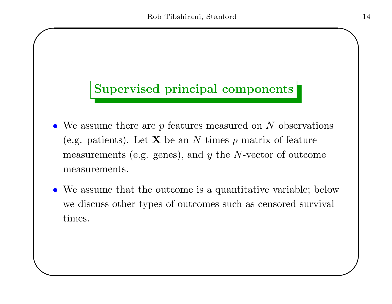$\setminus$ 

#### Supervised principal components

- We assume there are  $p$  features measured on  $N$  observations (e.g. patients). Let  $X$  be an N times p matrix of feature measurements (e.g. genes), and  $y$  the N-vector of outcome measurements.
- We assume that the outcome is <sup>a</sup> quantitative variable; below we discuss other types of outcomes such as censored survival times.

 $\bigwedge$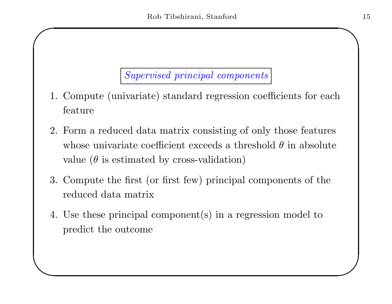$\setminus$ 

Supervised principal components

- 1. Compute (univariate) standard regression coefficients for each feature
- 2. Form <sup>a</sup> reduced data matrix consisting of only those features whose univariate coefficient exceeds a threshold  $\theta$  in absolute value ( $\theta$  is estimated by cross-validation)
- 3. Compute the first (or first few) principal components of the reduced data matrix
- 4. Use these principal component(s) in <sup>a</sup> regression model to predict the outcome

 $\bigwedge$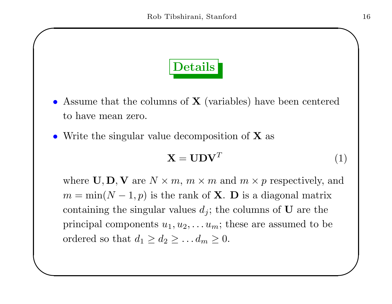# Details

- Assume that the columns of **X** (variables) have been centered to have mean zero.
- Write the singular value decomposition of **X** as

 $\bigg($ 

 $\setminus$ 

$$
\mathbf{X} = \mathbf{U} \mathbf{D} \mathbf{V}^T \tag{1}
$$

where  $\mathbf{U}, \mathbf{D}, \mathbf{V}$  are  $N \times m$ ,  $m \times m$  and  $m \times p$  respectively, and  $m = \min(N - 1, p)$  is the rank of **X**. **D** is a diagonal matrix containing the singular values  $d_j$ ; the columns of **U** are the principal components  $u_1, u_2, \ldots u_m$ ; these are assumed to be ordered so that  $d_1 \geq d_2 \geq \ldots d_m \geq 0$ .

 $\bigwedge$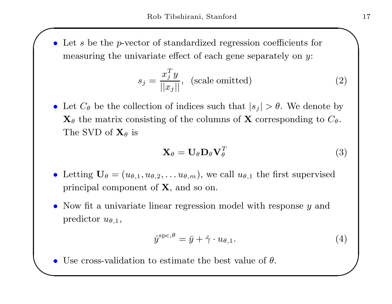$\bigcap$ • Let s be the p-vector of standardized regression coefficients for measuring the univariate effect of each gene separately on y:

$$
s_j = \frac{x_j^T y}{||x_j||}, \quad \text{(scale omitted)} \tag{2}
$$

• Let  $C_{\theta}$  be the collection of indices such that  $|s_j| > \theta$ . We denote by  $\mathbf{X}_{\theta}$  the matrix consisting of the columns of **X** corresponding to  $C_{\theta}$ . The SVD of  $\mathbf{X}_{\theta}$  is

$$
\mathbf{X}_{\theta} = \mathbf{U}_{\theta} \mathbf{D}_{\theta} \mathbf{V}_{\theta}^{T} \tag{3}
$$

- Letting  $\mathbf{U}_{\theta} = (u_{\theta,1}, u_{\theta,2}, \dots u_{\theta,m})$ , we call  $u_{\theta,1}$  the first supervised principal component of X, and so on.
- Now fit a univariate linear regression model with response y and predictor  $u_{\theta,1}$ ,

$$
\hat{y}^{\text{spc},\theta} = \bar{y} + \hat{\gamma} \cdot u_{\theta,1}.\tag{4}
$$

• Use cross-validation to estimate the best value of  $\theta$ .

 $\setminus$ 

 $\bigwedge$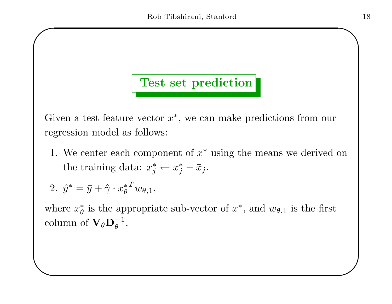#### Test set prediction

Given a test feature vector  $x^*$ , we can make predictions from our regression model as follows:

1. We center each component of  $x^*$  using the means we derived on the training data:  $x_j^* \leftarrow x_j^* - \bar{x}_j$ .

$$
2. \ \hat{y}^* = \bar{y} + \hat{\gamma} \cdot x_{\theta}^{*T} w_{\theta,1},
$$

 $\bigg($ 

 $\setminus$ 

where  $x_{\theta}^*$  is the appropriate sub-vector of  $x^*$ , and  $w_{\theta,1}$  is the first column of  $\mathbf{V}_{\theta} \mathbf{D}_{\theta}^{-1}$ .

 $\bigwedge$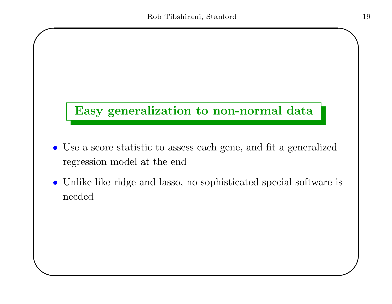## Easy generalization to non-normal data

- Use a score statistic to assess each gene, and fit a generalized regression model at the end
- Unlike like ridge and lasso, no sophisticated special software is needed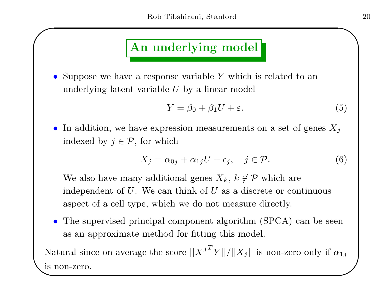### An underlying model

•Suppose we have a response variable  $Y$  which is related to an underlying latent variable  $U$  by a linear model

 $\bigg($ 

$$
Y = \beta_0 + \beta_1 U + \varepsilon. \tag{5}
$$

• In addition, we have expression measurements on a set of genes  $X_j$ indexed by  $j \in \mathcal{P}$ , for which

$$
X_j = \alpha_{0j} + \alpha_{1j}U + \epsilon_j, \quad j \in \mathcal{P}.
$$
 (6)

We also have many additional genes  $X_k$ ,  $k \notin \mathcal{P}$  which are independent of  $U$ . We can think of  $U$  as a discrete or continuous aspect of <sup>a</sup> cell type, which we do not measure directly.

• The supervised principal component algorithm (SPCA) can be seen as an approximate method for fitting this model.

 $\sqrt{\frac{1}{15}}$  $\bigvee$ Natural since on average the score  $||X^{jT}Y||/||X_j||$  is non-zero only if  $\alpha_{1j}$ is non-zero.

 $\bigwedge$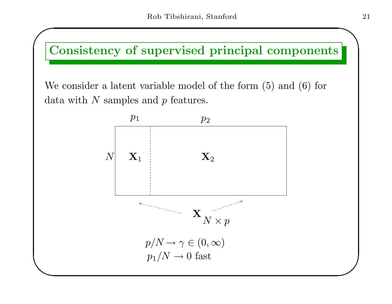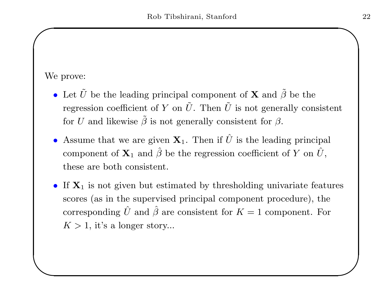#### We prove:

 $\bigg($ 

 $\setminus$ 

- $\bullet\,$  Let  $\tilde{U}$  $\tilde{U}$  be the leading principal component of  $\bf{X}$  and  $\tilde{\beta}$  $\beta$  be the regression coefficient of  $Y$  on  $\tilde{U}$  $\tilde{U}$ . Then  $\tilde{U}$  $U$  is not generally consistent for  $U$  and likewise  $\tilde{\beta}$  $\beta$  is not generally consistent for  $\beta$ .
- Assume that we are given  $X_1$ . Then if  $\hat{U}$  $U$  is the leading principal component of  $\mathbf{X}_1$  and  $\hat{\beta}$  $\hat{\beta}$  be the regression coefficient of Y on  $\hat{U}$  $\cup$  , these are both consistent.
- If  $X_1$  is not given but estimated by thresholding univariate features scores (as in the supervised principal component procedure), the  $\hat U$  corresponding  $\hat U$  $\hat{U} \,\, \mathrm{and} \,\, \hat{\beta}$  $\beta$  are consistent for  $K = 1$  component. For  $K > 1$ , it's a longer story...

 $\bigwedge$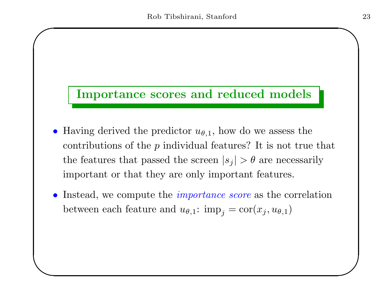$\setminus$ 

#### Importance scores and reduced models

- Having derived the predictor  $u_{\theta,1}$ , how do we assess the contributions of the  $p$  individual features? It is not true that the features that passed the screen  $|s_j| > \theta$  are necessarily important or that they are only important features.
- Instead, we compute the *importance score* as the correlation between each feature and  $u_{\theta,1}$ : imp<sub>j</sub> = cor( $x_j, u_{\theta,1}$ )

 $\bigwedge$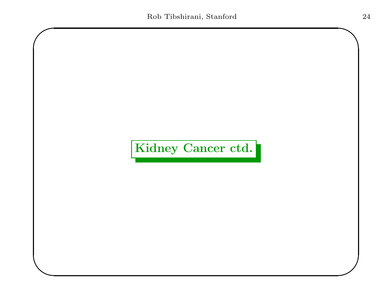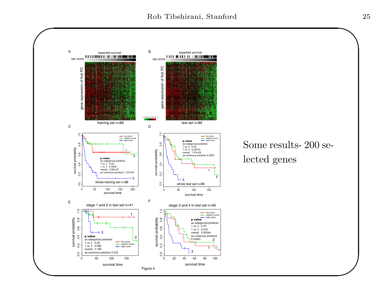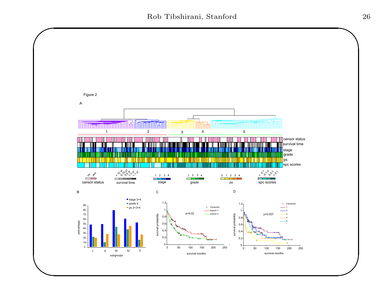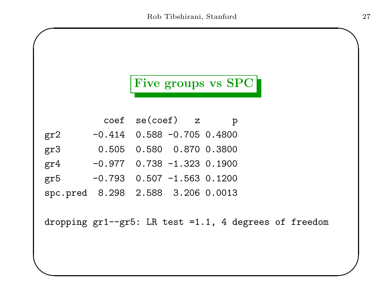#### Five groups vs SPC

|     | $\c{oef}$ se $(\c{oef})$ z        | $\mathbf{p}$ |
|-----|-----------------------------------|--------------|
| gr2 | $-0.414$ 0.588 $-0.705$ 0.4800    |              |
| gr3 | 0.505  0.580  0.870  0.3800       |              |
| gr4 | $-0.977$ 0.738 $-1.323$ 0.1900    |              |
| gr5 | $-0.793$ 0.507 $-1.563$ 0.1200    |              |
|     | spc.pred 8.298 2.588 3.206 0.0013 |              |

 $\bigg($ 

 $\setminus$ 

dropping gr1--gr5: LR test =1.1, 4 degrees of freedom

 $\bigwedge$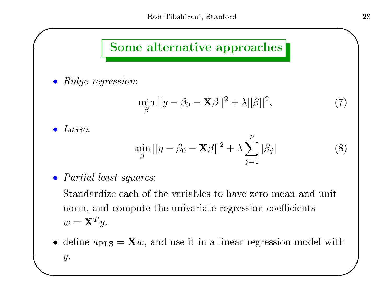#### Some alternative approaches

• Ridge regression:

$$
\min_{\beta} ||y - \beta_0 - \mathbf{X}\beta||^2 + \lambda ||\beta||^2, \tag{7}
$$

 $\bullet$  Lasso:

 $\bigg($ 

$$
\min_{\beta} ||y - \beta_0 - \mathbf{X}\beta||^2 + \lambda \sum_{j=1}^p |\beta_j| \tag{8}
$$

• Partial least squares:

Standardize each of the variables to have zero mean and unit norm, and compute the univariate regression coefficients  $w = \mathbf{X}^T y$ .

 $\setminus$  $\mathcal{S}$ • define  $u_{\text{PLS}} = \mathbf{X}w$ , and use it in a linear regression model with y.

 $\bigwedge$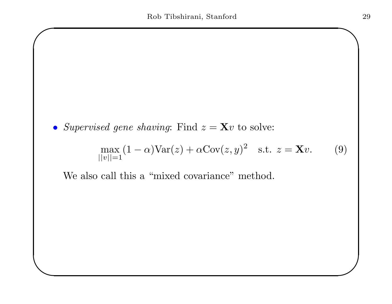

 $\setminus$ 

$$
\max_{||v||=1} (1-\alpha) \text{Var}(z) + \alpha \text{Cov}(z, y)^2 \quad \text{s.t. } z = \mathbf{X}v. \tag{9}
$$

We also call this a "mixed covariance" method.

 $\bigwedge$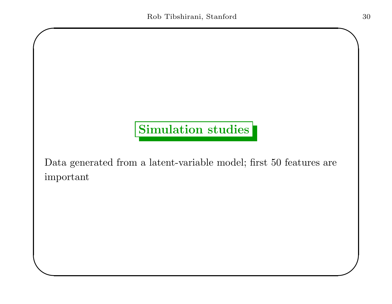$\setminus$ 

### Simulation studies

Data generated from <sup>a</sup> latent-variable model; first 50 features are important

 $\bigwedge$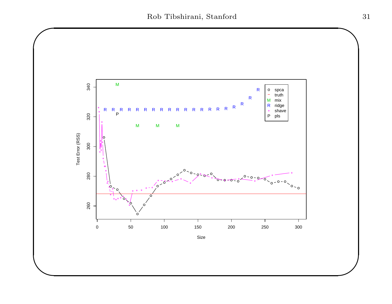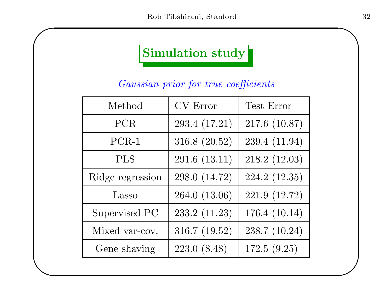$\setminus$ 

### Simulation study

#### Gaussian prior for true coefficients

| Method           | <b>CV</b> Error | Test Error    |
|------------------|-----------------|---------------|
| <b>PCR</b>       | 293.4 (17.21)   | 217.6 (10.87) |
| PCR-1            | 316.8 (20.52)   | 239.4 (11.94) |
| <b>PLS</b>       | 291.6 (13.11)   | 218.2 (12.03) |
| Ridge regression | 298.0 (14.72)   | 224.2 (12.35) |
| Lasso            | 264.0 (13.06)   | 221.9 (12.72) |
| Supervised PC    | 233.2 (11.23)   | 176.4 (10.14) |
| Mixed var-cov.   | 316.7 (19.52)   | 238.7 (10.24) |
| Gene shaving     | 223.0 (8.48)    | 172.5(9.25)   |

 $\bigwedge$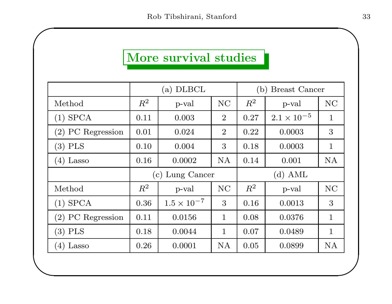$\setminus$ 

### More survival studies

|                     | $(a)$ DLBCL     |                      | (b) Breast Cancer |       |                      |              |
|---------------------|-----------------|----------------------|-------------------|-------|----------------------|--------------|
| Method              | $R^2$           | p-val                | NC                | $R^2$ | p-val                | NC           |
| $(1)$ SPCA          | 0.11            | 0.003                | $\overline{2}$    | 0.27  | $2.1 \times 10^{-5}$ | $\mathbf 1$  |
| $(2)$ PC Regression | 0.01            | 0.024                | $\overline{2}$    | 0.22  | 0.0003               | 3            |
| $(3)$ PLS           | 0.10            | 0.004                | 3                 | 0.18  | 0.0003               | $\mathbf{1}$ |
| $(4)$ Lasso         | 0.16            | 0.0002               | <b>NA</b>         | 0.14  | 0.001                | <b>NA</b>    |
|                     | (c) Lung Cancer |                      | $(d)$ AML         |       |                      |              |
| Method              | $R^2$           | p-val                | <b>NC</b>         | $R^2$ | p-val                | NC           |
| $(1)$ SPCA          | 0.36            | $1.5 \times 10^{-7}$ | 3                 | 0.16  | 0.0013               | 3            |
| $(2)$ PC Regression | 0.11            | 0.0156               | 1                 | 0.08  | 0.0376               | $\mathbf{1}$ |
| $(3)$ PLS           | 0.18            | 0.0044               | 1                 | 0.07  | 0.0489               | $\mathbf{1}$ |
| $(4)$ Lasso         | 0.26            | 0.0001               | <b>NA</b>         | 0.05  | 0.0899               | <b>NA</b>    |

 $\bigwedge$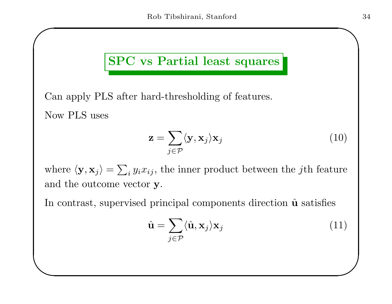#### SPC vs Partial least squares

Can apply PLS after hard-thresholding of features.

Now PLS uses

 $\bigg($ 

 $\setminus$ 

$$
\mathbf{z} = \sum_{j \in \mathcal{P}} \langle \mathbf{y}, \mathbf{x}_j \rangle \mathbf{x}_j \tag{10}
$$

where  $\langle \mathbf{y}, \mathbf{x}_j \rangle = \sum_i y_i x_{ij}$ , the inner product between the *j*th feature and the outcome vector y.

In contrast, supervised principal components direction  $\hat{u}$  satisfies

$$
\hat{\mathbf{u}} = \sum_{j \in \mathcal{P}} \langle \hat{\mathbf{u}}, \mathbf{x}_j \rangle \mathbf{x}_j \tag{11}
$$

 $\bigwedge$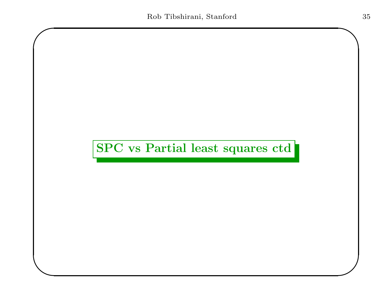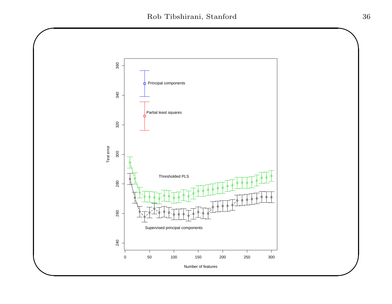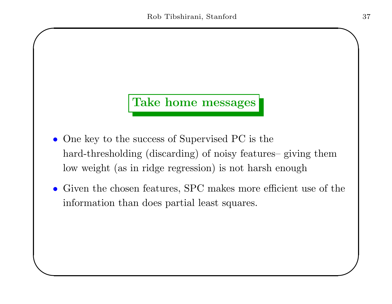$\setminus$ 

## Take home messages

- One key to the success of Supervised PC is the hard-thresholding (discarding) of noisy features– giving them low weight (as in ridge regression) is not harsh enoug<sup>h</sup>
- Given the chosen features, SPC makes more efficient use of the information than does partial least squares.

 $\bigwedge$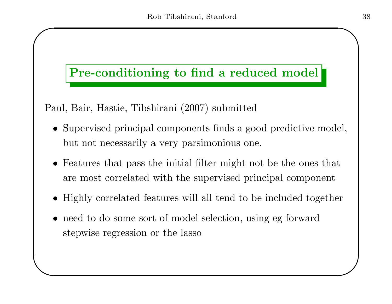### Pre-conditioning to find <sup>a</sup> reduced model

Paul, Bair, Hastie, Tibshirani (2007) submitted

 $\bigg($ 

 $\setminus$ 

- Supervised principal components finds <sup>a</sup> good predictive model, but not necessarily <sup>a</sup> very parsimonious one.
- Features that pass the initial filter might not be the ones that are most correlated with the supervised principal component
- Highly correlated features will all tend to be included together
- need to do some sort of model selection, using eg forward stepwise regression or the lasso

 $\bigwedge$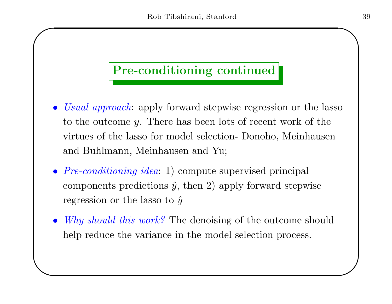$\setminus$ 

## Pre-conditioning continued

- Usual approach: apply forward stepwise regression or the lasso to the outcome y. There has been lots of recent work of the virtues of the lasso for model selection- Donoho, Meinhausen and Buhlmann, Meinhausen and Yu;
- Pre-conditioning idea: 1) compute supervised principal components predictions  $\hat{y}$ , then 2) apply forward stepwise regression or the lasso to  $\hat{y}$
- •Why should this work? The denoising of the outcome should help reduce the variance in the model selection process.

 $\bigwedge$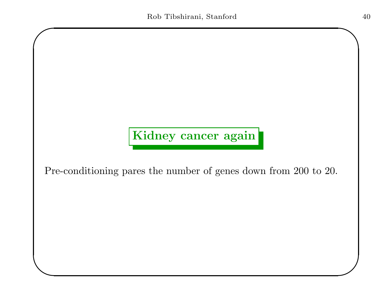

Pre-conditioning pares the number of genes down from 200 to 20.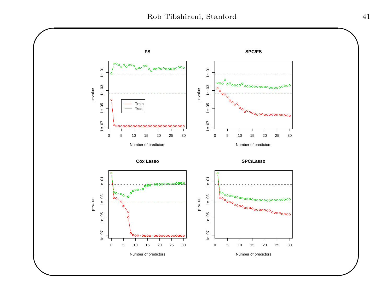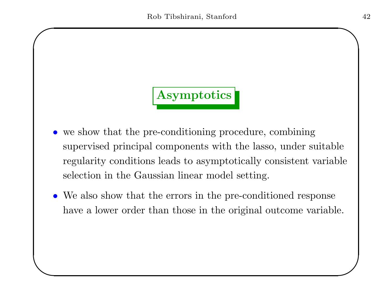$\setminus$ 

## Asymptotics

- we show that the pre-conditioning procedure, combining supervised principal components with the lasso, under suitable regularity conditions leads to asymptotically consistent variable selection in the Gaussian linear model setting.
- We also show that the errors in the pre-conditioned response have a lower order than those in the original outcome variable.

 $\bigwedge$